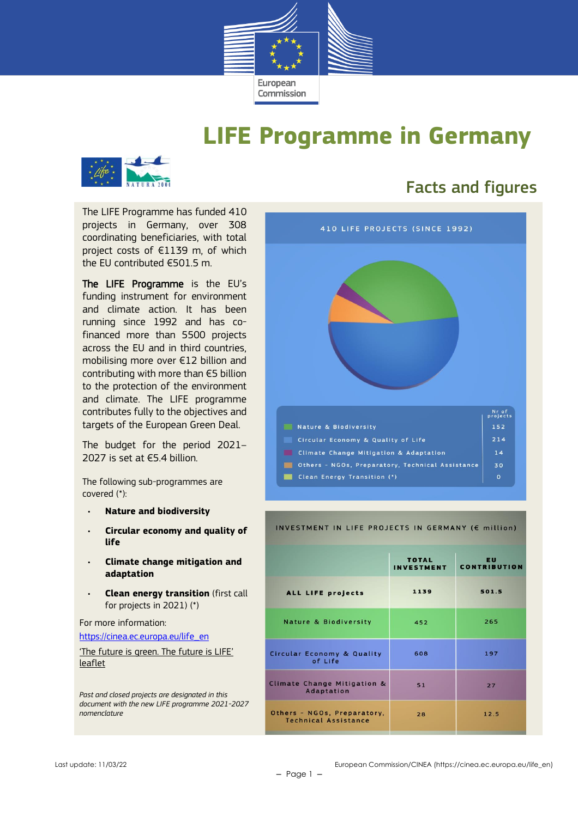

## **LIFE Programme in Germany**



## Facts and figures

The LIFE Programme has funded 410 projects in Germany, over 308 coordinating beneficiaries, with total project costs of €1139 m, of which the EU contributed €501.5 m.

The LIFE Programme is the EU's funding instrument for environment and climate action. It has been running since 1992 and has cofinanced more than 5500 projects across the EU and in third countries, mobilising more over €12 billion and contributing with more than €5 billion to the protection of the environment and climate. The LIFE programme contributes fully to the objectives and targets of the European Green Deal.

The budget for the period 2021– 2027 is set at €5.4 billion.

The following sub-programmes are covered (\*):

- **Nature and biodiversity**
- **Circular economy and quality of life**
- **Climate change mitigation and adaptation**
- **Clean energy transition** (first call for projects in 2021) (\*)

For more information:

[https://cinea.ec.europa.eu/life\\_en](https://cinea.ec.europa.eu/life_en)

['The future is green. The future is LIFE'](https://cinea.ec.europa.eu/publications/future-green-future-life-leaflet_en)  [leaflet](https://cinea.ec.europa.eu/publications/future-green-future-life-leaflet_en)

*Past and closed projects are designated in this document with the new LIFE programme 2021-2027 nomenclature*

| 410 LIFE PROJECTS (SINCE 1992)                    |                   |  |  |  |
|---------------------------------------------------|-------------------|--|--|--|
|                                                   |                   |  |  |  |
|                                                   |                   |  |  |  |
|                                                   | Nr of<br>projects |  |  |  |
| Nature & Biodiversity                             | 152               |  |  |  |
| Circular Economy & Quality of Life                | 214               |  |  |  |
| <b>Climate Change Mitigation &amp; Adaptation</b> | 14                |  |  |  |
| Others - NGOs, Preparatory, Technical Assistance  | 30                |  |  |  |

#### INVESTMENT IN LIFE PROJECTS IN GERMANY (€ million)

|                                                            | <b>TOTAL</b><br><b>INVESTMENT</b> | <b>EU</b><br><b>CONTRIBUTION</b> |
|------------------------------------------------------------|-----------------------------------|----------------------------------|
| <b>ALL LIFE projects</b>                                   | 1139                              | 501.5                            |
| <b>Nature &amp; Biodiversity</b>                           | 452                               | 265                              |
| <b>Circular Economy &amp; Quality</b><br>of Life           | 608                               | 197                              |
| Climate Change Mitigation &<br>Adaptation                  | 51                                | 27                               |
| Others - NGOs, Preparatory,<br><b>Technical Assistance</b> | 28                                | 12.5                             |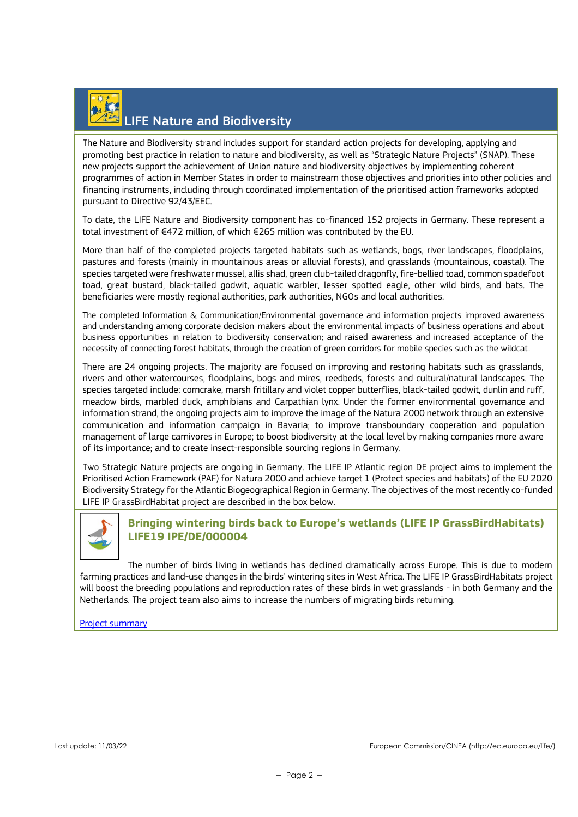# LIFE Nature and Biodiversity

The Nature and Biodiversity strand includes support for standard action projects for developing, applying and promoting best practice in relation to nature and biodiversity, as well as "Strategic Nature Projects" (SNAP). These new projects support the achievement of Union nature and biodiversity objectives by implementing coherent programmes of action in Member States in order to mainstream those objectives and priorities into other policies and financing instruments, including through coordinated implementation of the prioritised action frameworks adopted pursuant to Directive 92/43/EEC.

To date, the LIFE Nature and Biodiversity component has co-financed 152 projects in Germany. These represent a total investment of €472 million, of which €265 million was contributed by the EU.

More than half of the completed projects targeted habitats such as wetlands, bogs, river landscapes, floodplains, pastures and forests (mainly in mountainous areas or alluvial forests), and grasslands (mountainous, coastal). The species targeted were freshwater mussel, allis shad, green club-tailed dragonfly, fire-bellied toad, common spadefoot toad, great bustard, black-tailed godwit, aquatic warbler, lesser spotted eagle, other wild birds, and bats. The beneficiaries were mostly regional authorities, park authorities, NGOs and local authorities.

The completed Information & Communication/Environmental governance and information projects improved awareness and understanding among corporate decision-makers about the environmental impacts of business operations and about business opportunities in relation to biodiversity conservation; and raised awareness and increased acceptance of the necessity of connecting forest habitats, through the creation of green corridors for mobile species such as the wildcat.

There are 24 ongoing projects. The majority are focused on improving and restoring habitats such as grasslands, rivers and other watercourses, floodplains, bogs and mires, reedbeds, forests and cultural/natural landscapes. The species targeted include: corncrake, marsh fritillary and violet copper butterflies, black-tailed godwit, dunlin and ruff, meadow birds, marbled duck, amphibians and Carpathian lynx. Under the former environmental governance and information strand, the ongoing projects aim to improve the image of the Natura 2000 network through an extensive communication and information campaign in Bavaria; to improve transboundary cooperation and population management of large carnivores in Europe; to boost biodiversity at the local level by making companies more aware of its importance; and to create insect-responsible sourcing regions in Germany.

Two Strategic Nature projects are ongoing in Germany. The LIFE IP Atlantic region DE project aims to implement the Prioritised Action Framework (PAF) for Natura 2000 and achieve target 1 (Protect species and habitats) of the EU 2020 Biodiversity Strategy for the Atlantic Biogeographical Region in Germany. The objectives of the most recently co-funded LIFE IP GrassBirdHabitat project are described in the box below.



### **Bringing wintering birds back to Europe's wetlands (LIFE IP GrassBirdHabitats) LIFE19 IPE/DE/000004**

The number of birds living in wetlands has declined dramatically across Europe. This is due to modern farming practices and land-use changes in the birds' wintering sites in West Africa. The LIFE IP GrassBirdHabitats project will boost the breeding populations and reproduction rates of these birds in wet grasslands - in both Germany and the Netherlands. The project team also aims to increase the numbers of migrating birds returning.

[Project summary](https://webgate.ec.europa.eu/life/publicWebsite/project/details/5432)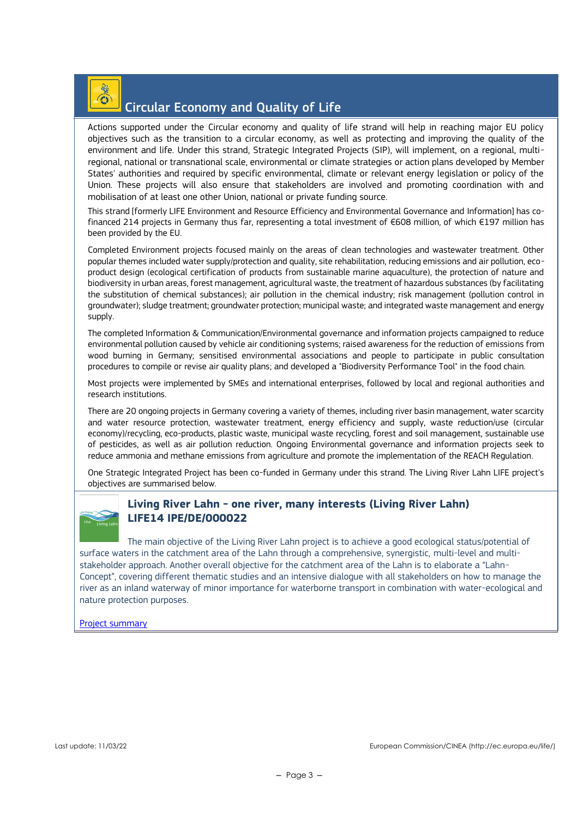## $\odot$

### Circular Economy and Quality of Life

Actions supported under the Circular economy and quality of life strand will help in reaching major EU policy objectives such as the transition to a circular economy, as well as protecting and improving the quality of the environment and life. Under this strand, Strategic Integrated Projects (SIP), will implement, on a regional, multiregional, national or transnational scale, environmental or climate strategies or action plans developed by Member States' authorities and required by specific environmental, climate or relevant energy legislation or policy of the Union. These projects will also ensure that stakeholders are involved and promoting coordination with and mobilisation of at least one other Union, national or private funding source.

This strand [formerly LIFE Environment and Resource Efficiency and Environmental Governance and Information] has cofinanced 214 projects in Germany thus far, representing a total investment of €608 million, of which €197 million has been provided by the EU.

Completed Environment projects focused mainly on the areas of clean technologies and wastewater treatment. Other popular themes included water supply/protection and quality, site rehabilitation, reducing emissions and air pollution, ecoproduct design (ecological certification of products from sustainable marine aquaculture), the protection of nature and biodiversity in urban areas, forest management, agricultural waste, the treatment of hazardous substances (by facilitating the substitution of chemical substances); air pollution in the chemical industry; risk management (pollution control in groundwater); sludge treatment; groundwater protection; municipal waste; and integrated waste management and energy supply.

The completed Information & Communication/Environmental governance and information projects campaigned to reduce environmental pollution caused by vehicle air conditioning systems; raised awareness for the reduction of emissions from wood burning in Germany; sensitised environmental associations and people to participate in public consultation procedures to compile or revise air quality plans; and developed a "Biodiversity Performance Tool" in the food chain.

Most projects were implemented by SMEs and international enterprises, followed by local and regional authorities and research institutions.

There are 20 ongoing projects in Germany covering a variety of themes, including river basin management, water scarcity and water resource protection, wastewater treatment, energy efficiency and supply, waste reduction/use (circular economy)/recycling, eco-products, plastic waste, municipal waste recycling, forest and soil management, sustainable use of pesticides, as well as air pollution reduction. Ongoing Environmental governance and information projects seek to reduce ammonia and methane emissions from agriculture and promote the implementation of the REACH Regulation.

One Strategic Integrated Project has been co-funded in Germany under this strand. The Living River Lahn LIFE project's objectives are summarised below.



### **Living River Lahn - one river, many interests (Living River Lahn) LIFE14 IPE/DE/000022**

The main objective of the Living River Lahn project is to achieve a good ecological status/potential of surface waters in the catchment area of the Lahn through a comprehensive, synergistic, multi-level and multistakeholder approach. Another overall objective for the catchment area of the Lahn is to elaborate a "Lahn-Concept", covering different thematic studies and an intensive dialogue with all stakeholders on how to manage the river as an inland waterway of minor importance for waterborne transport in combination with water-ecological and nature protection purposes.

#### [Project summary](https://webgate.ec.europa.eu/life/publicWebsite/project/details/4340)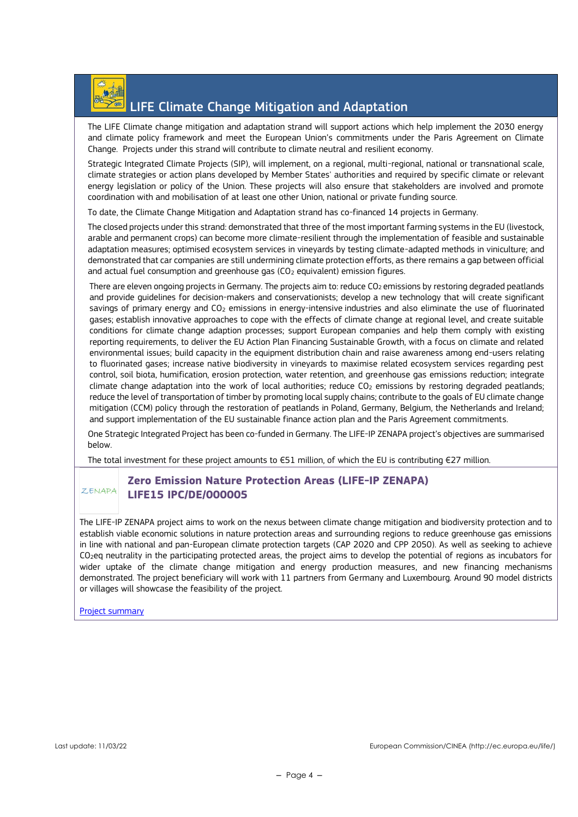

### LIFE Climate Change Mitigation and Adaptation

The LIFE Climate change mitigation and adaptation strand will support actions which help implement the 2030 energy and climate policy framework and meet the European Union's commitments under the Paris Agreement on Climate Change. Projects under this strand will contribute to climate neutral and resilient economy.

Strategic Integrated Climate Projects (SIP), will implement, on a regional, multi-regional, national or transnational scale, climate strategies or action plans developed by Member States' authorities and required by specific climate or relevant energy legislation or policy of the Union. These projects will also ensure that stakeholders are involved and promote coordination with and mobilisation of at least one other Union, national or private funding source.

To date, the Climate Change Mitigation and Adaptation strand has co-financed 14 projects in Germany.

The closed projects under this strand: demonstrated that three of the most important farming systems in the EU (livestock, arable and permanent crops) can become more climate-resilient through the implementation of feasible and sustainable adaptation measures; optimised ecosystem services in vineyards by testing climate-adapted methods in viniculture; and demonstrated that car companies are still undermining climate protection efforts, as there remains a gap between official and actual fuel consumption and greenhouse gas  $(CO<sub>2</sub>$  equivalent) emission figures.

There are eleven ongoing projects in Germany. The projects aim to: reduce  $CO<sub>2</sub>$  emissions by restoring degraded peatlands and provide guidelines for decision-makers and conservationists; develop a new technology that will create significant savings of primary energy and CO<sub>2</sub> emissions in energy-intensive industries and also eliminate the use of fluorinated gases; establish innovative approaches to cope with the effects of climate change at regional level, and create suitable conditions for climate change adaption processes; support European companies and help them comply with existing reporting requirements, to deliver the EU Action Plan Financing Sustainable Growth, with a focus on climate and related environmental issues; build capacity in the equipment distribution chain and raise awareness among end-users relating to fluorinated gases; increase native biodiversity in vineyards to maximise related ecosystem services regarding pest control, soil biota, humification, erosion protection, water retention, and greenhouse gas emissions reduction; integrate climate change adaptation into the work of local authorities; reduce CO<sup>2</sup> emissions by restoring degraded peatlands; reduce the level of transportation of timber by promoting local supply chains; contribute to the goals of EU climate change mitigation (CCM) policy through the restoration of peatlands in Poland, Germany, Belgium, the Netherlands and Ireland; and support implementation of the EU sustainable finance action plan and the Paris Agreement commitments.

One Strategic Integrated Project has been co-funded in Germany. The LIFE-IP ZENAPA project's objectives are summarised below.

The total investment for these project amounts to €51 million, of which the EU is contributing €27 million.

#### **Zero Emission Nature Protection Areas (LIFE-IP ZENAPA)**  Z.ENAPA **LIFE15 IPC/DE/000005**

The LIFE-IP ZENAPA project aims to work on the nexus between climate change mitigation and biodiversity protection and to establish viable economic solutions in nature protection areas and surrounding regions to reduce greenhouse gas emissions in line with national and pan-European climate protection targets (CAP 2020 and CPP 2050). As well as seeking to achieve CO2eq neutrality in the participating protected areas, the project aims to develop the potential of regions as incubators for wider uptake of the climate change mitigation and energy production measures, and new financing mechanisms demonstrated. The project beneficiary will work with 11 partners from Germany and Luxembourg. Around 90 model districts or villages will showcase the feasibility of the project.

[Project summary](https://webgate.ec.europa.eu/life/publicWebsite/project/details/4620)

Last update: 11/03/22 European Commission/CINEA (http://ec.europa.eu/life/)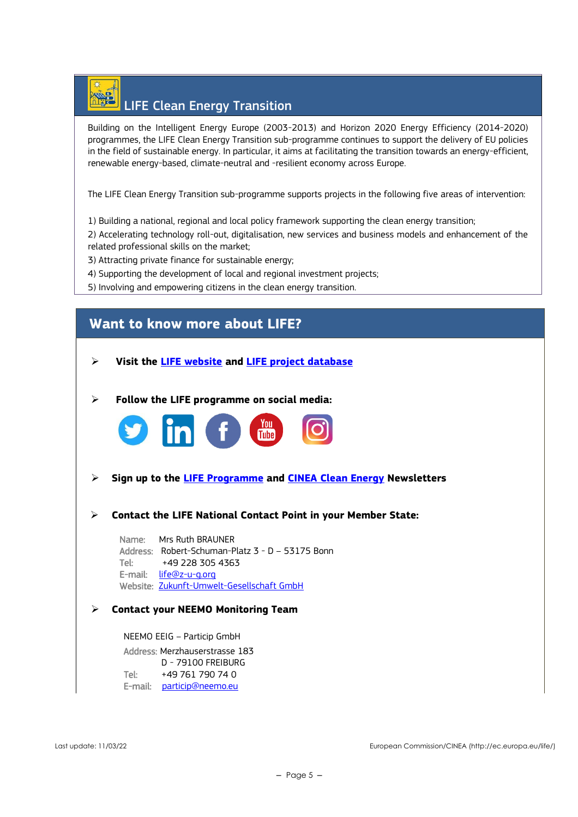

Building on the Intelligent Energy Europe (2003-2013) and Horizon 2020 Energy Efficiency (2014-2020) programmes, the LIFE Clean Energy Transition sub-programme continues to support the delivery of EU policies in the field of sustainable energy. In particular, it aims at facilitating the transition towards an energy-efficient, renewable energy-based, climate-neutral and -resilient economy across Europe.

The LIFE Clean Energy Transition sub-programme supports projects in the following five areas of intervention:

1) Building a national, regional and local policy framework supporting the clean energy transition;

2) Accelerating technology roll-out, digitalisation, new services and business models and enhancement of the related professional skills on the market;

- 3) Attracting private finance for sustainable energy;
- 4) Supporting the development of local and regional investment projects;

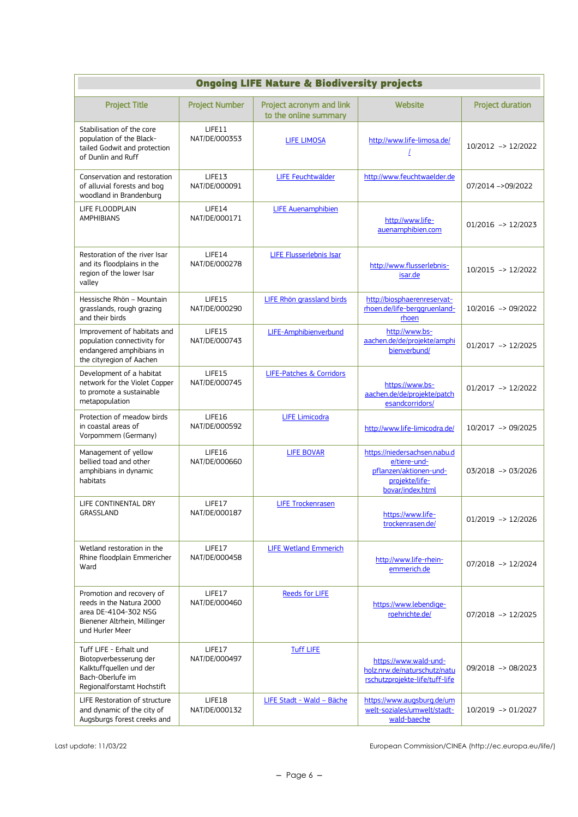| <b>Ongoing LIFE Nature &amp; Biodiversity projects</b>                                                                           |                         |                                                   |                                                                                                              |                         |
|----------------------------------------------------------------------------------------------------------------------------------|-------------------------|---------------------------------------------------|--------------------------------------------------------------------------------------------------------------|-------------------------|
| <b>Project Title</b>                                                                                                             | <b>Project Number</b>   | Project acronym and link<br>to the online summary | Website                                                                                                      | <b>Project duration</b> |
| Stabilisation of the core<br>population of the Black-<br>tailed Godwit and protection<br>of Dunlin and Ruff                      | LIFE11<br>NAT/DE/000353 | <b>LIFE LIMOSA</b>                                | http://www.life-limosa.de/                                                                                   | 10/2012 -> 12/2022      |
| Conservation and restoration<br>of alluvial forests and bog<br>woodland in Brandenburg                                           | LIFE13<br>NAT/DE/000091 | LIFE Feuchtwälder                                 | http://www.feuchtwaelder.de                                                                                  | 07/2014 ->09/2022       |
| LIFE FLOODPLAIN<br><b>AMPHIBIANS</b>                                                                                             | LIFE14<br>NAT/DE/000171 | <b>LIFE Auenamphibien</b>                         | http://www.life-<br>auenamphibien.com                                                                        | $01/2016$ -> $12/2023$  |
| Restoration of the river Isar<br>and its floodplains in the<br>region of the lower Isar<br>valley                                | LIFE14<br>NAT/DE/000278 | <b>LIFE Flusserlebnis Isar</b>                    | http://www.flusserlebnis-<br>isar.de                                                                         | 10/2015 -> 12/2022      |
| Hessische Rhön - Mountain<br>grasslands, rough grazing<br>and their birds                                                        | LIFE15<br>NAT/DE/000290 | LIFE Rhön grassland birds                         | http://biosphaerenreservat-<br>rhoen.de/life-berggruenland-<br>rhoen                                         | 10/2016 -> 09/2022      |
| Improvement of habitats and<br>population connectivity for<br>endangered amphibians in<br>the cityregion of Aachen               | LIFE15<br>NAT/DE/000743 | LIFE-Amphibienverbund                             | http://www.bs-<br>aachen.de/de/projekte/amphi<br>bienverbund/                                                | $01/2017$ -> $12/2025$  |
| Development of a habitat<br>network for the Violet Copper<br>to promote a sustainable<br>metapopulation                          | LIFE15<br>NAT/DE/000745 | <b>LIFE-Patches &amp; Corridors</b>               | https://www.bs-<br>aachen.de/de/projekte/patch<br>esandcorridors/                                            | $01/2017$ -> $12/2022$  |
| Protection of meadow birds<br>in coastal areas of<br>Vorpommern (Germany)                                                        | LIFE16<br>NAT/DE/000592 | <b>LIFE Limicodra</b>                             | http://www.life-limicodra.de/                                                                                | 10/2017 -> 09/2025      |
| Management of yellow<br>bellied toad and other<br>amphibians in dynamic<br>habitats                                              | LIFE16<br>NAT/DE/000660 | <b>LIFE BOVAR</b>                                 | https://niedersachsen.nabu.d<br>e/tiere-und-<br>pflanzen/aktionen-und-<br>projekte/life-<br>bovar/index.html | $03/2018$ -> 03/2026    |
| LIFE CONTINENTAL DRY<br>GRASSLAND                                                                                                | LIFE17<br>NAT/DE/000187 | <b>LIFE Trockenrasen</b>                          | https://www.life-<br>trockenrasen.de/                                                                        | $01/2019$ -> $12/2026$  |
| Wetland restoration in the<br>Rhine floodplain Emmericher<br>Ward                                                                | LIFE17<br>NAT/DE/000458 | <b>LIFE Wetland Emmerich</b>                      | http://www.life-rhein-<br>emmerich.de                                                                        | 07/2018 -> 12/2024      |
| Promotion and recovery of<br>reeds in the Natura 2000<br>area DE-4104-302 NSG<br>Bienener Altrhein, Millinger<br>und Hurler Meer | LIFE17<br>NAT/DE/000460 | <b>Reeds for LIFE</b>                             | https://www.lebendige-<br>roehrichte.de/                                                                     | 07/2018 -> 12/2025      |
| Tuff LIFE - Erhalt und<br>Biotopverbesserung der<br>Kalktuffquellen und der<br>Bach-Oberlufe im<br>Regionalforstamt Hochstift    | LIFE17<br>NAT/DE/000497 | <b>Tuff LIFE</b>                                  | https://www.wald-und-<br>holz.nrw.de/naturschutz/natu<br>rschutzprojekte-life/tuff-life                      | 09/2018 -> 08/2023      |
| LIFE Restoration of structure<br>and dynamic of the city of<br>Augsburgs forest creeks and                                       | LIFE18<br>NAT/DE/000132 | LIFE Stadt - Wald - Bäche                         | https://www.augsburg.de/um<br>welt-soziales/umwelt/stadt-<br>wald-baeche                                     | 10/2019 -> 01/2027      |

Last update: 11/03/22 European Commission/CINEA (http://ec.europa.eu/life/)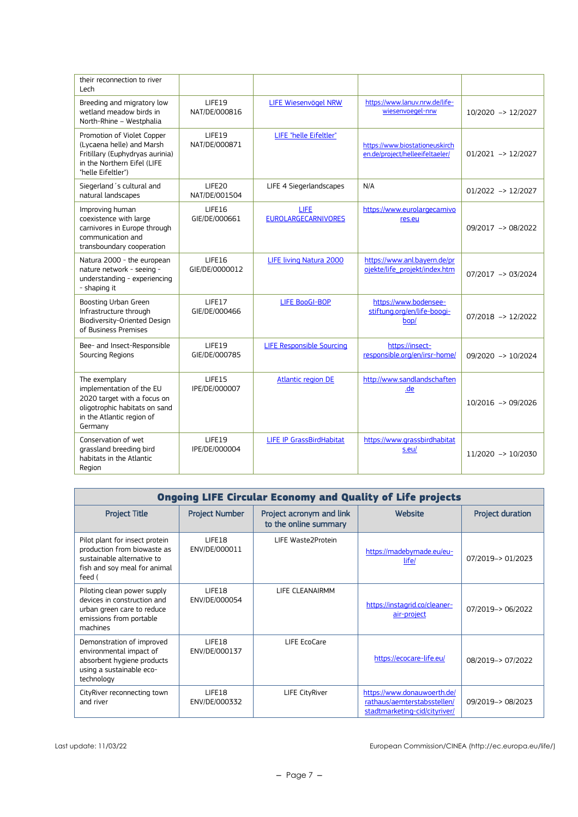| their reconnection to river<br>Lech                                                                                                               |                                 |                                    |                                                                   |                        |
|---------------------------------------------------------------------------------------------------------------------------------------------------|---------------------------------|------------------------------------|-------------------------------------------------------------------|------------------------|
| Breeding and migratory low<br>wetland meadow birds in<br>North-Rhine - Westphalia                                                                 | LIFE19<br>NAT/DE/000816         | LIFE Wiesenvögel NRW               | https://www.lanuv.nrw.de/life-<br>wiesenvoegel-nrw                | 10/2020 -> 12/2027     |
| Promotion of Violet Copper<br>(Lycaena helle) and Marsh<br>Fritillary (Euphydryas aurinia)<br>in the Northern Eifel (LIFE<br>"helle Eifeltler")   | LIFE19<br>NAT/DE/000871         | LIFE "helle Eifeltler"             | https://www.biostationeuskirch<br>en.de/project/helleeifeltaeler/ | $01/2021$ -> $12/2027$ |
| Siegerland 's cultural and<br>natural landscapes                                                                                                  | LIFE20<br>NAT/DE/001504         | LIFE 4 Siegerlandscapes            | N/A                                                               | $01/2022$ -> $12/2027$ |
| Improving human<br>coexistence with large<br>carnivores in Europe through<br>communication and<br>transboundary cooperation                       | LIFE16<br>GIE/DE/000661         | LIFE<br><b>EUROLARGECARNIVORES</b> | https://www.eurolargecarnivo<br>res.eu                            | 09/2017 -> 08/2022     |
| Natura 2000 - the european<br>nature network - seeing -<br>understanding - experiencing<br>- shaping it                                           | <b>LIFE16</b><br>GIE/DE/0000012 | LIFE living Natura 2000            | https://www.anl.bayern.de/pr<br>ojekte/life_projekt/index.htm     | 07/2017 -> 03/2024     |
| Boosting Urban Green<br>Infrastructure through<br>Biodiversity-Oriented Design<br>of Business Premises                                            | LIFE17<br>GIE/DE/000466         | <b>LIFE BooGI-BOP</b>              | https://www.bodensee-<br>stiftung.org/en/life-boogi-<br>bop/      | $07/2018$ -> $12/2022$ |
| Bee- and Insect-Responsible<br>Sourcing Regions                                                                                                   | LIFE19<br>GIE/DE/000785         | <b>LIFE Responsible Sourcing</b>   | https://insect-<br>responsible.org/en/irsr-home/                  | 09/2020 -> 10/2024     |
| The exemplary<br>implementation of the EU<br>2020 target with a focus on<br>oligotrophic habitats on sand<br>in the Atlantic region of<br>Germany | LIFE15<br>IPE/DE/000007         | <b>Atlantic region DE</b>          | http://www.sandlandschaften<br>.de                                | 10/2016 -> 09/2026     |
| Conservation of wet<br>grassland breeding bird<br>habitats in the Atlantic<br>Region                                                              | LIFE19<br>IPE/DE/000004         | <b>LIFE IP GrassBirdHabitat</b>    | https://www.grassbirdhabitat<br>s.eu/                             | 11/2020 -> 10/2030     |

| <b>Ongoing LIFE Circular Economy and Quality of Life projects</b>                                                                     |                         |                                                   |                                                                                             |                         |
|---------------------------------------------------------------------------------------------------------------------------------------|-------------------------|---------------------------------------------------|---------------------------------------------------------------------------------------------|-------------------------|
| <b>Project Title</b>                                                                                                                  | <b>Project Number</b>   | Project acronym and link<br>to the online summary | Website                                                                                     | <b>Project duration</b> |
| Pilot plant for insect protein<br>production from biowaste as<br>sustainable alternative to<br>fish and soy meal for animal<br>feed ( | LIFF18<br>ENV/DE/000011 | LIFE Waste2Protein                                | https://madebymade.eu/eu-<br>life/                                                          | 07/2019-> 01/2023       |
| Piloting clean power supply<br>devices in construction and<br>urban green care to reduce<br>emissions from portable<br>machines       | LIFE18<br>ENV/DE/000054 | LIFE CLEANAIRMM                                   | https://instagrid.co/cleaner-<br>air-project                                                | 07/2019-> 06/2022       |
| Demonstration of improved<br>environmental impact of<br>absorbent hygiene products<br>using a sustainable eco-<br>technology          | LIFF18<br>ENV/DE/000137 | LIFE EcoCare                                      | https://ecocare-life.eu/                                                                    | 08/2019-> 07/2022       |
| CityRiver reconnecting town<br>and river                                                                                              | LIFF18<br>ENV/DE/000332 | LIFE CityRiver                                    | https://www.donauwoerth.de/<br>rathaus/aemterstabsstellen/<br>stadtmarketing-cid/cityriver/ | 09/2019-> 08/2023       |

Last update: 11/03/22 European Commission/CINEA (http://ec.europa.eu/life/)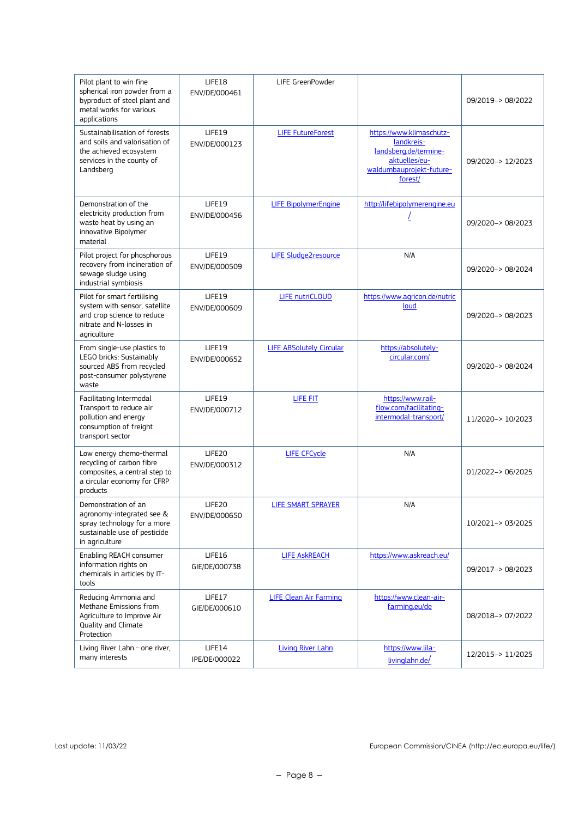| Pilot plant to win fine<br>spherical iron powder from a<br>byproduct of steel plant and<br>metal works for various<br>applications   | LIFE18<br>ENV/DE/000461 | LIFE GreenPowder                |                                                                                                                         | 09/2019-> 08/2022 |
|--------------------------------------------------------------------------------------------------------------------------------------|-------------------------|---------------------------------|-------------------------------------------------------------------------------------------------------------------------|-------------------|
| Sustainabilisation of forests<br>and soils and valorisation of<br>the achieved ecosystem<br>services in the county of<br>Landsberg   | LIFE19<br>ENV/DE/000123 | <b>LIFE FutureForest</b>        | https://www.klimaschutz-<br>landkreis-<br>landsberg.de/termine-<br>aktuelles/eu-<br>waldumbauprojekt-future-<br>forest/ | 09/2020-> 12/2023 |
| Demonstration of the<br>electricity production from<br>waste heat by using an<br>innovative Bipolymer<br>material                    | LIFE19<br>ENV/DE/000456 | <b>LIFE BipolymerEngine</b>     | http://lifebipolymerengine.eu                                                                                           | 09/2020-> 08/2023 |
| Pilot project for phosphorous<br>recovery from incineration of<br>sewage sludge using<br>industrial symbiosis                        | LIFE19<br>ENV/DE/000509 | LIFE Sludge2resource            | N/A                                                                                                                     | 09/2020-> 08/2024 |
| Pilot for smart fertilising<br>system with sensor, satellite<br>and crop science to reduce<br>nitrate and N-losses in<br>agriculture | LIFE19<br>ENV/DE/000609 | <b>LIFE nutriCLOUD</b>          | https://www.agricon.de/nutric<br>loud                                                                                   | 09/2020-> 08/2023 |
| From single-use plastics to<br>LEGO bricks: Sustainably<br>sourced ABS from recycled<br>post-consumer polystyrene<br>waste           | LIFE19<br>ENV/DE/000652 | <b>LIFE ABSolutely Circular</b> | https://absolutely-<br>circular.com/                                                                                    | 09/2020-> 08/2024 |
| Facilitating Intermodal<br>Transport to reduce air<br>pollution and energy<br>consumption of freight<br>transport sector             | LIFE19<br>ENV/DE/000712 | LIFE FIT                        | https://www.rail-<br>flow.com/facilitating-<br>intermodal-transport/                                                    | 11/2020-> 10/2023 |
| Low energy chemo-thermal<br>recycling of carbon fibre<br>composites, a central step to<br>a circular economy for CFRP<br>products    | LIFE20<br>ENV/DE/000312 | <b>LIFE CFCycle</b>             | N/A                                                                                                                     | 01/2022-> 06/2025 |
| Demonstration of an<br>agronomy-integrated see &<br>spray technology for a more<br>sustainable use of pesticide<br>in agriculture    | LIFE20<br>ENV/DE/000650 | <b>LIFE SMART SPRAYER</b>       | N/A                                                                                                                     | 10/2021-> 03/2025 |
| Enabling REACH consumer<br>information rights on<br>chemicals in articles by IT-<br>tools                                            | LIFE16<br>GIE/DE/000738 | <b>LIFE ASKREACH</b>            | https://www.askreach.eu/                                                                                                | 09/2017-> 08/2023 |
| Reducing Ammonia and<br>Methane Emissions from<br>Agriculture to Improve Air<br>Quality and Climate<br>Protection                    | LIFE17<br>GIE/DE/000610 | <b>LIFE Clean Air Farming</b>   | https://www.clean-air-<br>farming.eu/de                                                                                 | 08/2018-> 07/2022 |
| Living River Lahn - one river,<br>many interests                                                                                     | LIFE14<br>IPE/DE/000022 | <b>Living River Lahn</b>        | https://www.lila-<br>livinglahn.de/                                                                                     | 12/2015-> 11/2025 |